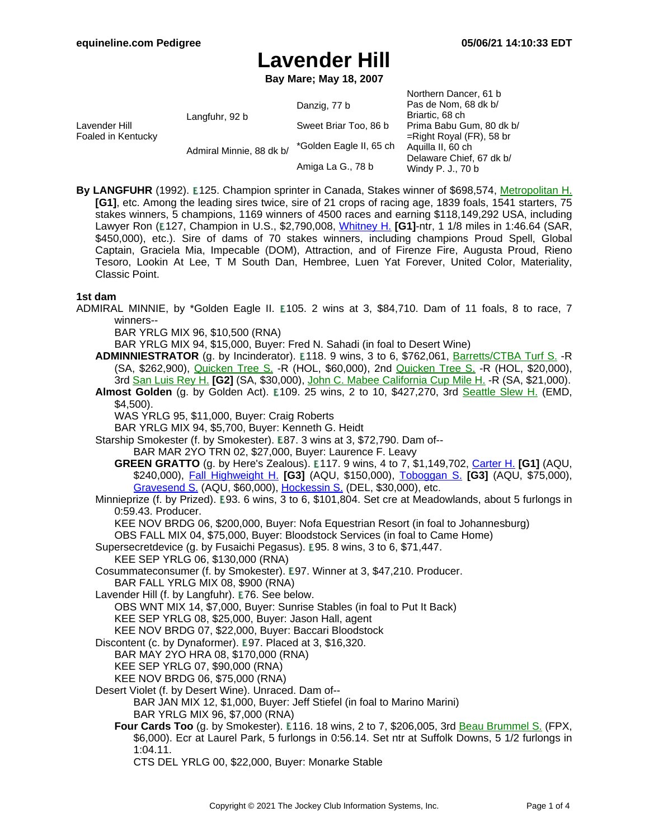**Bay Mare; May 18, 2007**

| Lavender Hill<br>Foaled in Kentucky | Langfuhr, 92 b           | Danzig, 77 b            | Northern Dancer, 61 b<br>Pas de Nom, 68 dk b/<br>Briartic, 68 ch                                  |
|-------------------------------------|--------------------------|-------------------------|---------------------------------------------------------------------------------------------------|
|                                     |                          | Sweet Briar Too, 86 b   | Prima Babu Gum, 80 dk b/                                                                          |
|                                     | Admiral Minnie, 88 dk b/ |                         | $=$ Right Royal (FR), 58 br<br>Aquilla II, 60 ch<br>Delaware Chief, 67 dk b/<br>Windy P. J., 70 b |
|                                     |                          | *Golden Eagle II, 65 ch |                                                                                                   |
|                                     |                          | Amiga La G., 78 b       |                                                                                                   |

**By LANGFUHR** (1992). **E125. Champion sprinter in Canada, Stakes winner of \$698,574, [Metropolitan](https://www.equineline.com/dotVideoChart.cfm?track=BEL&country=USA&race_date=1997-05-26&refno=1354584®istry=T&race_name=Metropolitan+H.&race_number=9&day_evening=D&product_reference_number=40PA) H. [G1]**, etc. Among the leading sires twice, sire of 21 crops of racing age, 1839 foals, 1541 starters, 75 stakes winners, 5 champions, 1169 winners of 4500 races and earning \$118,149,292 USA, including Lawyer Ron (E127, Champion in U.S., \$2,790,008, [Whitney](https://www.equineline.com/dotVideoChart.cfm?track=SAR&country=USA&race_date=2007-07-28&raceid=mp4:2007/300/200707281745STD10_300.f4v&refno=6804207®istry=T&race_name=Whitney+H.&race_number=10&day_evening=D&product_reference_number=40PA) H. **[G1]**-ntr, 1 1/8 miles in 1:46.64 (SAR, \$450,000), etc.). Sire of dams of 70 stakes winners, including champions Proud Spell, Global Captain, Graciela Mia, Impecable (DOM), Attraction, and of Firenze Fire, Augusta Proud, Rieno Tesoro, Lookin At Lee, T M South Dan, Hembree, Luen Yat Forever, United Color, Materiality, Classic Point.

### **1st dam**

ADMIRAL MINNIE, by \*Golden Eagle II. E105. 2 wins at 3, \$84,710. Dam of 11 foals, 8 to race, 7 winners--

BAR YRLG MIX 96, \$10,500 (RNA)

BAR YRLG MIX 94, \$15,000, Buyer: Fred N. Sahadi (in foal to Desert Wine)

- **ADMINNIESTRATOR** (g. by Incinderator). E118. 9 wins, 3 to 6, \$762,061, B[arretts/CTBA](https://www.equineline.com/dotVideoChart.cfm?track=SA+&country=USA&race_date=2003-01-25&refno=4346284®istry=T&race_name=Barretts/CTBA+Turf+S.&race_number=2&day_evening=D&product_reference_number=40PA) Turf S. -R (SA, \$262,900), [Quicken](https://www.equineline.com/dotVideoChart.cfm?track=HOL&country=USA&race_date=2002-04-28&refno=4346284®istry=T&race_name=Quicken+Tree+S.&race_number=1&day_evening=D&product_reference_number=40PA) Tree S. -R (HOL, \$60,000), 2nd Q[uicken](https://www.equineline.com/dotVideoChart.cfm?track=HOL&country=USA&race_date=2001-04-28&refno=4346284®istry=T&race_name=Quicken+Tree+S.&race_number=8&day_evening=D&product_reference_number=40PA) Tree S. -R (HOL, \$20,000), 3rd San [Luis](https://www.equineline.com/dotVideoChart.cfm?track=SA+&country=USA&race_date=2003-03-15&refno=4346284®istry=T&race_name=San+Luis+Rey+H.&race_number=7&day_evening=D&product_reference_number=40PA) Rey H. **[G2]** (SA, \$30,000), John C. Mabee [California](https://www.equineline.com/dotVideoChart.cfm?track=SA+&country=USA&race_date=2002-11-02&refno=4346284®istry=T&race_name=John+C.+Mabee+California+Cup+Mile+H.&race_number=9&day_evening=D&product_reference_number=40PA) Cup Mile H. -R (SA, \$21,000).
- Almost Golden (g. by Golden Act). E109. 25 wins, 2 to 10, \$427,270, 3rd Seattle [Slew](https://www.equineline.com/dotVideoChart.cfm?track=EMD&country=USA&race_date=1997-05-17&refno=1432369®istry=T&race_name=Seattle+Slew+H.&race_number=9&day_evening=D&product_reference_number=40PA) H. (EMD, \$4,500).

WAS YRLG 95, \$11,000, Buyer: Craig Roberts

BAR YRLG MIX 94, \$5,700, Buyer: Kenneth G. Heidt

Starship Smokester (f. by Smokester). E87. 3 wins at 3, \$72,790. Dam of--

- BAR MAR 2YO TRN 02, \$27,000, Buyer: Laurence F. Leavy
- **GREEN GRATTO** (g. by Here's Zealous). 117. 9 wins, 4 to 7, \$1,149,702, [Carter](https://www.equineline.com/dotVideoChart.cfm?track=AQU&country=USA&race_date=2017-04-08&raceid=mp4:2017/1308/201704081714AQD9_1308.mp4&refno=8903836®istry=T&race_name=Carter+H.&race_number=9&day_evening=D&product_reference_number=40PA) H. **[G1]** (AQU, \$240,000), Fall [Highweight](https://www.equineline.com/dotVideoChart.cfm?track=AQU&country=USA&race_date=2015-11-26&raceid=mp4:2015/1308/201511261519AQD8_1308.f4v&refno=8903836®istry=T&race_name=Fall+Highweight+H.&race_number=8&day_evening=D&product_reference_number=40PA) H. **[G3]** (AQU, \$150,000), To[boggan](https://www.equineline.com/dotVideoChart.cfm?track=AQU&country=USA&race_date=2017-01-16&raceid=mp4:2017/1308/201701161422AQD5_1308.mp4&refno=8903836®istry=T&race_name=Toboggan+S.&race_number=5&day_evening=D&product_reference_number=40PA) S. **[G3]** (AQU, \$75,000), [Gravesend](https://www.equineline.com/dotVideoChart.cfm?track=AQU&country=USA&race_date=2015-12-26&raceid=mp4:2015/1308/201512261555AQD8_1308.f4v&refno=8903836®istry=T&race_name=Gravesend+S.&race_number=8&day_evening=D&product_reference_number=40PA) S. (AQU, \$60,000), [Hockessin](https://www.equineline.com/dotVideoChart.cfm?track=DEL&country=USA&race_date=2016-07-16&raceid=mp4:2016/1308/201607161614DLD7_1308.mp4&refno=8903836®istry=T&race_name=Hockessin+S.&race_number=7&day_evening=D&product_reference_number=40PA) S. (DEL, \$30,000), etc.

Minnieprize (f. by Prized). E93. 6 wins, 3 to 6, \$101,804. Set cre at Meadowlands, about 5 furlongs in 0:59.43. Producer.

KEE NOV BRDG 06, \$200,000, Buyer: Nofa Equestrian Resort (in foal to Johannesburg)

OBS FALL MIX 04, \$75,000, Buyer: Bloodstock Services (in foal to Came Home)

Supersecretdevice (g. by Fusaichi Pegasus). E95. 8 wins, 3 to 6, \$71,447. KEE SEP YRLG 06, \$130,000 (RNA)

Cosummateconsumer (f. by Smokester). E97. Winner at 3, \$47,210. Producer. BAR FALL YRLG MIX 08, \$900 (RNA)

Lavender Hill (f. by Langfuhr). E76. See below.

OBS WNT MIX 14, \$7,000, Buyer: Sunrise Stables (in foal to Put It Back)

KEE SEP YRLG 08, \$25,000, Buyer: Jason Hall, agent

KEE NOV BRDG 07, \$22,000, Buyer: Baccari Bloodstock

Discontent (c. by Dynaformer). E97. Placed at 3, \$16,320.

BAR MAY 2YO HRA 08, \$170,000 (RNA)

KEE SEP YRLG 07, \$90,000 (RNA)

KEE NOV BRDG 06, \$75,000 (RNA)

Desert Violet (f. by Desert Wine). Unraced. Dam of--

BAR JAN MIX 12, \$1,000, Buyer: Jeff Stiefel (in foal to Marino Marini) BAR YRLG MIX 96, \$7,000 (RNA)

Four Cards Too (g. by Smokester). E116. 18 wins, 2 to 7, \$206,005, 3rd Beau [Brummel](https://www.equineline.com/dotVideoChart.cfm?track=FPX&country=USA&race_date=2001-09-14&refno=5093103®istry=T&race_name=Beau+Brummel+S.&race_number=7&day_evening=D&product_reference_number=40PA) S. (FPX, \$6,000). Ecr at Laurel Park, 5 furlongs in 0:56.14. Set ntr at Suffolk Downs, 5 1/2 furlongs in 1:04.11.

CTS DEL YRLG 00, \$22,000, Buyer: Monarke Stable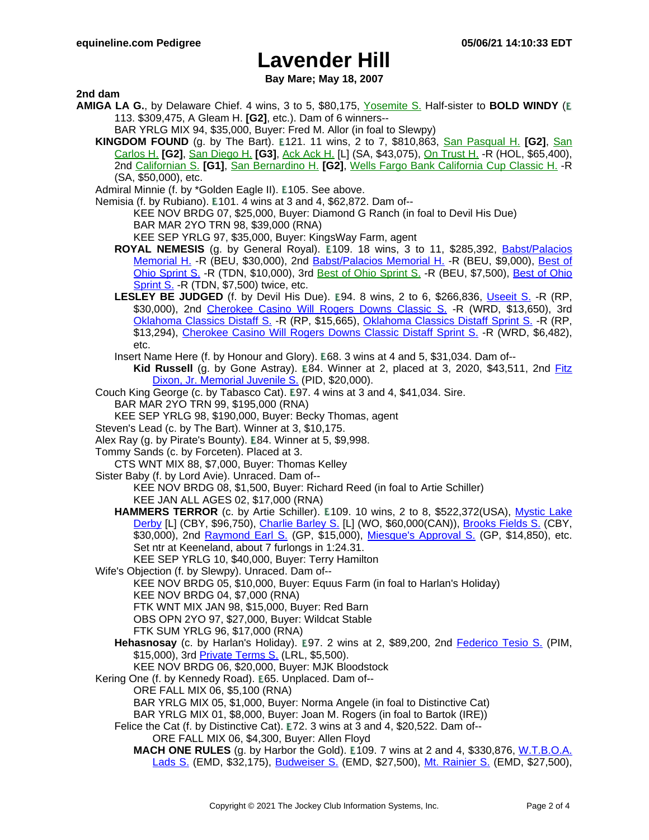**Bay Mare; May 18, 2007**

**2nd dam**

- **AMIGA LA G.**, by Delaware Chief. 4 wins, 3 to 5, \$80,175, Y[osemite](https://www.equineline.com/dotVideoChart.cfm?track=FNO&country=USA&race_date=1983-05-16&refno=726210®istry=T&race_name=Yosemite+S.&race_number=10&day_evening=D&product_reference_number=40PA) S. Half-sister to **BOLD WINDY** ( 113. \$309,475, A Gleam H. **[G2]**, etc.). Dam of 6 winners--
	- BAR YRLG MIX 94, \$35,000, Buyer: Fred M. Allor (in foal to Slewpy)
	- **KINGDOM FOUND** (g. by The Bart). **E121. 11 wins, 2 to 7, \$810,863**, San [Pasqual](https://www.equineline.com/dotVideoChart.cfm?track=SA+&country=USA&race_date=1997-01-12&refno=1283487®istry=T&race_name=San+Pasqual+H.&race_number=6&day_evening=D&product_reference_number=40PA) H. **[G2]**, San [Carlos](https://www.equineline.com/dotVideoChart.cfm?track=SA+&country=USA&race_date=1996-03-02&refno=1283487®istry=T&race_name=San+Carlos+H.&race_number=9&day_evening=D&product_reference_number=40PA) H. **[G2]**, San [Diego](https://www.equineline.com/dotVideoChart.cfm?track=DMR&country=USA&race_date=1994-07-30&refno=1283487®istry=T&race_name=San+Diego+H.&race_number=8&day_evening=D&product_reference_number=40PA) H. **[G3]**, Ack [Ack](https://www.equineline.com/dotVideoChart.cfm?track=SA+&country=USA&race_date=1995-12-31&refno=1283487®istry=T&race_name=Ack+Ack+H.&race_number=7&day_evening=D&product_reference_number=40PA) H. [L] (SA, \$43,075), On [Trust](https://www.equineline.com/dotVideoChart.cfm?track=HOL&country=USA&race_date=1996-11-24&refno=1283487®istry=T&race_name=On+Trust+H.&race_number=8&day_evening=D&product_reference_number=40PA) H. -R (HOL, \$65,400), 2nd [Californian](https://www.equineline.com/dotVideoChart.cfm?track=HOL&country=USA&race_date=1994-06-05&refno=1283487®istry=T&race_name=Californian+S.&race_number=8&day_evening=D&product_reference_number=40PA) S. **[G1]**, San [Bernardino](https://www.equineline.com/dotVideoChart.cfm?track=SA+&country=USA&race_date=1997-04-06&refno=1283487®istry=T&race_name=San+Bernardino+H.&race_number=7&day_evening=D&product_reference_number=40PA) H. **[G2]**, Wells Fargo Bank [California](https://www.equineline.com/dotVideoChart.cfm?track=SA+&country=USA&race_date=1994-10-29&refno=1283487®istry=T&race_name=Wells+Fargo+Bank+California+Cup+Classic+H.&race_number=8&day_evening=D&product_reference_number=40PA) Cup Classic H. -R (SA, \$50,000), etc.
	- Admiral Minnie (f. by \*Golden Eagle II). E105. See above.
	- Nemisia (f. by Rubiano). E101. 4 wins at 3 and 4, \$62,872. Dam of--
		- KEE NOV BRDG 07, \$25,000, Buyer: Diamond G Ranch (in foal to Devil His Due) BAR MAR 2YO TRN 98, \$39,000 (RNA)
		- KEE SEP YRLG 97, \$35,000, Buyer: KingsWay Farm, agent
		- **ROYAL NEMESIS** (g. by General Royal). **E109. 18 wins, 3 to 11, \$285,392**, **Babst/[Palacios](https://www.equineline.com/dotVideoChart.cfm?track=BEU&country=USA&race_date=2010-05-01&raceid=mp4:2010/1308/201005011700BXM8_1308.f4v&refno=7121093®istry=T&race_name=Babst/Palacios+Memorial+H.&race_number=8&day_evening=D&product_reference_number=40PA)** [Memorial](https://www.equineline.com/dotVideoChart.cfm?track=BEU&country=USA&race_date=2010-05-01&raceid=mp4:2010/1308/201005011700BXM8_1308.f4v&refno=7121093®istry=T&race_name=Babst/Palacios+Memorial+H.&race_number=8&day_evening=D&product_reference_number=40PA) H. -R (BEU, \$30,000), 2nd [Babst/Palacios](https://www.equineline.com/dotVideoChart.cfm?track=BEU&country=USA&race_date=2009-05-02&raceid=mp4:2009/1308/200905021733BXM10_1308.f4v&refno=7121093®istry=T&race_name=Babst/Palacios+Memorial+H.&race_number=10&day_evening=D&product_reference_number=40PA) Memorial H. -R (BEU, \$9,000), B[est](https://www.equineline.com/dotVideoChart.cfm?track=TDN&country=USA&race_date=2012-10-12&raceid=mp4:2012/1308/201210121555TDM5_1308.f4v&refno=7121093®istry=T&race_name=Best+of+Ohio+Sprint+S.&race_number=5&day_evening=D&product_reference_number=40PA) of Ohio [Sprint](https://www.equineline.com/dotVideoChart.cfm?track=TDN&country=USA&race_date=2012-10-12&raceid=mp4:2012/1308/201210121555TDM5_1308.f4v&refno=7121093®istry=T&race_name=Best+of+Ohio+Sprint+S.&race_number=5&day_evening=D&product_reference_number=40PA) S. -R (TDN, \$10,000), 3rd Best of Ohio [Sprint](https://www.equineline.com/dotVideoChart.cfm?track=BEU&country=USA&race_date=2007-10-06&refno=7121093®istry=T&race_name=Best+of+Ohio+Sprint+S.&race_number=10&day_evening=D&product_reference_number=40PA) S. -R (BEU, \$7,500), Best of [Ohio](https://www.equineline.com/dotVideoChart.cfm?track=TDN&country=USA&race_date=2008-10-04&raceid=mp4:2008/1308/200810041505TDM5_1308.f4v&refno=7121093®istry=T&race_name=Best+of+Ohio+Sprint+S.&race_number=5&day_evening=D&product_reference_number=40PA) [Sprint](https://www.equineline.com/dotVideoChart.cfm?track=TDN&country=USA&race_date=2008-10-04&raceid=mp4:2008/1308/200810041505TDM5_1308.f4v&refno=7121093®istry=T&race_name=Best+of+Ohio+Sprint+S.&race_number=5&day_evening=D&product_reference_number=40PA) S. -R (TDN, \$7,500) twice, etc.
		- LESLEY BE JUDGED (f. by Devil His Due). E94. 8 wins, 2 to 6, \$266,836, Useeit S. [-R \(](https://www.equineline.com/dotVideoChart.cfm?track=RP+&country=USA&race_date=2011-12-10&raceid=mp4:2011/1308/201112102228RED7_1308.f4v&refno=8345355®istry=T&race_name=Useeit+S.&race_number=7&day_evening=D&product_reference_number=40PA)RP, \$30,000), 2nd [Cherokee](https://www.equineline.com/dotVideoChart.cfm?track=WRD&country=USA&race_date=2011-04-09&raceid=mp4:2011/1308/201104091645WRD8_1308.f4v&refno=8345355®istry=T&race_name=Cherokee+Casino+Will+Rogers+Downs+Classic+S.&race_number=8&day_evening=D&product_reference_number=40PA) Casino Will Rogers Downs Classic S. - R (WRD, \$13,650), 3rd [Oklahoma](https://www.equineline.com/dotVideoChart.cfm?track=RP+&country=USA&race_date=2013-10-18&raceid=mp4:2013/1308/201310182054RED3_1308.f4v&refno=8345355®istry=T&race_name=Oklahoma+Classics+Distaff+Sprint+S.&race_number=3&day_evening=D&product_reference_number=40PA) Classics Distaff S. -R (RP, \$15,665), Oklahoma Classics Distaff Sprint S. -R (RP, \$13,294), [Cherokee](https://www.equineline.com/dotVideoChart.cfm?track=WRD&country=USA&race_date=2012-04-23&raceid=mp4:2012/1308/201204231712WRD9_1308.f4v&refno=8345355®istry=T&race_name=Cherokee+Casino+Will+Rogers+Downs+Classic+Distaff+Sprint+S.&race_number=9&day_evening=D&product_reference_number=40PA) Casino Will Rogers Downs Classic Distaff Sprint S. -R (WRD, \$6,482), etc.
		- Insert Name Here (f. by Honour and Glory). E68. 3 wins at 4 and 5, \$31,034. Dam of--
			- **Kid Russell** (g. by Gone Astray). E84. Winner at 2, placed at 3, 2020, \$43,511, 2nd Fitz Dixon, Jr. [Memorial](https://www.equineline.com/dotVideoChart.cfm?track=PID&country=USA&race_date=2019-10-09&raceid=mp4:2019/1308/201910091908QIN5_1308.mp4&refno=10314398®istry=T&race_name=Fitz+Dixon,+Jr.+Memorial+Juvenile+S.&race_number=5&day_evening=D&product_reference_number=40PA) Juvenile S. (PID, \$20,000).
	- Couch King George (c. by Tabasco Cat). E97. 4 wins at 3 and 4, \$41,034. Sire.
		- BAR MAR 2YO TRN 99, \$195,000 (RNA)
	- KEE SEP YRLG 98, \$190,000, Buyer: Becky Thomas, agent
	- Steven's Lead (c. by The Bart). Winner at 3, \$10,175.
	- Alex Ray (g. by Pirate's Bounty). E84. Winner at 5, \$9.998.
	- Tommy Sands (c. by Forceten). Placed at 3.
	- CTS WNT MIX 88, \$7,000, Buyer: Thomas Kelley
	- Sister Baby (f. by Lord Avie). Unraced. Dam of--
		- KEE NOV BRDG 08, \$1,500, Buyer: Richard Reed (in foal to Artie Schiller) KEE JAN ALL AGES 02, \$17,000 (RNA)
		- **HAMMERS TERROR** (c. by Artie Schiller). **E109. 10 wins, 2 to 8, \$522,372(USA)**, Mystic [Lake](https://www.equineline.com/dotVideoChart.cfm?track=CBY&country=USA&race_date=2012-07-28&raceid=mp4:2012/1308/201207281729CBD7_1308.f4v&refno=8740393®istry=T&race_name=Mystic+Lake+Derby&race_number=7&day_evening=D&product_reference_number=40PA) [Derby](https://www.equineline.com/dotVideoChart.cfm?track=CBY&country=USA&race_date=2012-07-28&raceid=mp4:2012/1308/201207281729CBD7_1308.f4v&refno=8740393®istry=T&race_name=Mystic+Lake+Derby&race_number=7&day_evening=D&product_reference_number=40PA) [L] (CBY, \$96,750), [Charlie](https://www.equineline.com/dotVideoChart.cfm?track=WO+&country=CAN&race_date=2012-06-23&raceid=mp4:2012/1308/201206231654WOT8_1308.f4v&refno=8740393®istry=T&race_name=Charlie+Barley+S.&race_number=8&day_evening=D&product_reference_number=40PA) Barley S. [L] (WO, \$60,000(CAN)), [Brooks](https://www.equineline.com/dotVideoChart.cfm?track=CBY&country=USA&race_date=2013-06-16&raceid=mp4:2013/1308/201306161813CBD8_1308.f4v&refno=8740393®istry=T&race_name=Brooks+Fields+S.&race_number=8&day_evening=D&product_reference_number=40PA) Fields S. (CBY, \$30,000), 2nd [Raymond](https://www.equineline.com/dotVideoChart.cfm?track=GP+&country=USA&race_date=2016-06-04&raceid=mp4:2016/1308/201606041514GPM6_1308.mp4&refno=8740393®istry=T&race_name=Raymond+Earl+S.&race_number=6&day_evening=D&product_reference_number=40PA) Earl S. (GP, \$15,000), Miesque's [Approval](https://www.equineline.com/dotVideoChart.cfm?track=GP+&country=USA&race_date=2016-07-02&raceid=mp4:2016/1308/201607021100GPM6_1308.mp4&refno=8740393®istry=T&race_name=Miesque) S. (GP, \$14,850), etc. Set ntr at Keeneland, about 7 furlongs in 1:24.31.
	- KEE SEP YRLG 10, \$40,000, Buyer: Terry Hamilton
	- Wife's Objection (f. by Slewpy). Unraced. Dam of--
		- KEE NOV BRDG 05, \$10,000, Buyer: Equus Farm (in foal to Harlan's Holiday)
		- KEE NOV BRDG 04, \$7,000 (RNA)
		- FTK WNT MIX JAN 98, \$15,000, Buyer: Red Barn
		- OBS OPN 2YO 97, \$27,000, Buyer: Wildcat Stable
		- FTK SUM YRLG 96, \$17,000 (RNA)
		- Hehasnosay (c. by Harlan's Holiday). E97. 2 wins at 2, \$89,200, 2nd Federico [Tesio](https://www.equineline.com/dotVideoChart.cfm?track=PIM&country=USA&race_date=2009-05-02&raceid=mp4:2009/1308/200905021809PIM10_1308.f4v&refno=7826432®istry=T&race_name=Federico+Tesio+S.&race_number=10&day_evening=D&product_reference_number=40PA) S. (PIM, \$15,000), 3rd [Private](https://www.equineline.com/dotVideoChart.cfm?track=LRL&country=USA&race_date=2009-03-21&raceid=mp4:2009/1308/200903211644LRM9_1308.f4v&refno=7826432®istry=T&race_name=Private+Terms+S.&race_number=9&day_evening=D&product_reference_number=40PA) Terms S. (LRL, \$5,500).
	- KEE NOV BRDG 06, \$20,000, Buyer: MJK Bloodstock
	- Kering One (f. by Kennedy Road). E65. Unplaced. Dam of--
		- ORE FALL MIX 06, \$5,100 (RNA)
		- BAR YRLG MIX 05, \$1,000, Buyer: Norma Angele (in foal to Distinctive Cat)
		- BAR YRLG MIX 01, \$8,000, Buyer: Joan M. Rogers (in foal to Bartok (IRE))
		- Felice the Cat (f. by Distinctive Cat). E72. 3 wins at 3 and 4, \$20,522. Dam of--ORE FALL MIX 06, \$4,300, Buyer: Allen Floyd
			- **MACH ONE RULES** (g. by Harbor the Gold). **E109. 7 wins at 2 and 4, \$330,876, [W.T.B.O.A.](https://www.equineline.com/dotVideoChart.cfm?track=EMD&country=USA&race_date=2015-08-15&raceid=mp4:2015/1308/201508152023EMD8_1308.f4v&refno=9513027®istry=T&race_name=W.T.B.O.A.+Lads+S.&race_number=8&day_evening=D&product_reference_number=40PA)** [Lads](https://www.equineline.com/dotVideoChart.cfm?track=EMD&country=USA&race_date=2015-08-15&raceid=mp4:2015/1308/201508152023EMD8_1308.f4v&refno=9513027®istry=T&race_name=W.T.B.O.A.+Lads+S.&race_number=8&day_evening=D&product_reference_number=40PA) S. (EMD, \$32,175), [Budweiser](https://www.equineline.com/dotVideoChart.cfm?track=EMD&country=USA&race_date=2017-06-18&raceid=mp4:2017/1308/201706181947EMD7_1308.mp4&refno=9513027®istry=T&race_name=Budweiser+S.&race_number=7&day_evening=D&product_reference_number=40PA) S. (EMD, \$27,500), Mt. [Rainier](https://www.equineline.com/dotVideoChart.cfm?track=EMD&country=USA&race_date=2017-07-16&raceid=mp4:2017/1308/201707162008EMD8_1308.mp4&refno=9513027®istry=T&race_name=Mt.+Rainier+S.&race_number=8&day_evening=D&product_reference_number=40PA) S. (EMD, \$27,500),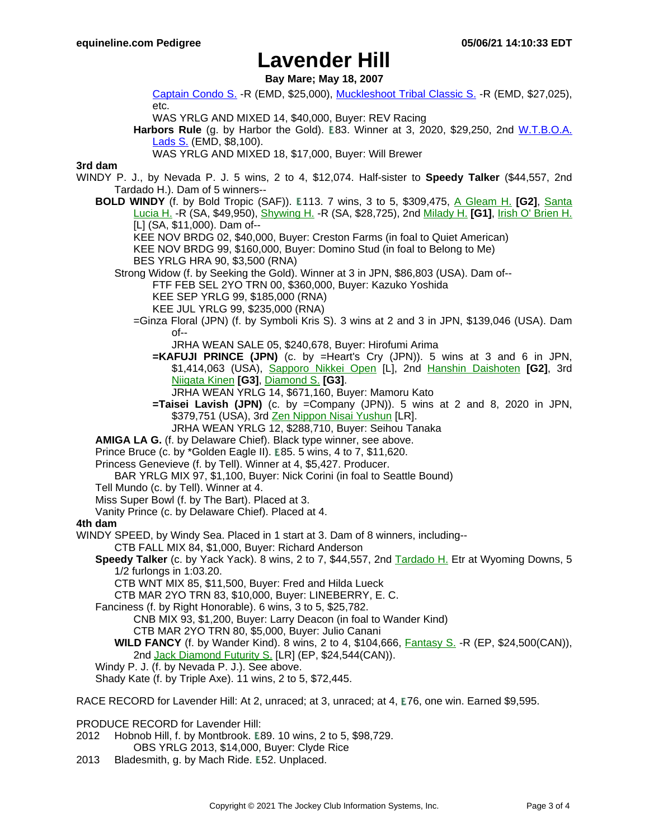**Bay Mare; May 18, 2007**

[Captain](https://www.equineline.com/dotVideoChart.cfm?track=EMD&country=USA&race_date=2015-09-13&raceid=mp4:2015/1308/201509132014EMD8_1308.f4v&refno=9513027®istry=T&race_name=Captain+Condo+S.&race_number=8&day_evening=D&product_reference_number=40PA) Condo S. -R (EMD, \$25,000), [Muckleshoot](https://www.equineline.com/dotVideoChart.cfm?track=EMD&country=USA&race_date=2017-08-27&raceid=mp4:2017/1308/201708272115EMD9_1308.mp4&refno=9513027®istry=T&race_name=Muckleshoot+Tribal+Classic+S.&race_number=9&day_evening=D&product_reference_number=40PA) Tribal Classic S. -R (EMD, \$27,025), etc.

WAS YRLG AND MIXED 14, \$40,000, Buyer: REV Racing

Harbors Rule (g. by Harbor the Gold). E83. Winner at 3, 2020, \$29,250, 2nd W.T.[B.O.A.](https://www.equineline.com/dotVideoChart.cfm?track=EMD&country=USA&race_date=2019-08-18&raceid=mp4:2019/1308/201908182020EMD8_1308.mp4&refno=10279365®istry=T&race_name=W.T.B.O.A.+Lads+S.&race_number=8&day_evening=D&product_reference_number=40PA) [Lads](https://www.equineline.com/dotVideoChart.cfm?track=EMD&country=USA&race_date=2019-08-18&raceid=mp4:2019/1308/201908182020EMD8_1308.mp4&refno=10279365®istry=T&race_name=W.T.B.O.A.+Lads+S.&race_number=8&day_evening=D&product_reference_number=40PA) S. (EMD, \$8,100).

WAS YRLG AND MIXED 18, \$17,000, Buyer: Will Brewer

### **3rd dam**

- WINDY P. J., by Nevada P. J. 5 wins, 2 to 4, \$12,074. Half-sister to **Speedy Talker** (\$44,557, 2nd Tardado H.). Dam of 5 winners--
	- **BOLD WINDY** (f. by Bold Tropic (SAF)). **E113. 7** wins, 3 to 5, \$309,475, A G[leam](https://www.equineline.com/dotVideoChart.cfm?track=HOL&country=USA&race_date=1993-05-08&refno=1215606®istry=T&race_name=A+Gleam+H.&race_number=8&day_evening=D&product_reference_number=40PA) H. **[G2]**, Santa [Lucia](https://www.equineline.com/dotVideoChart.cfm?track=SA+&country=USA&race_date=1994-03-26&refno=1215606®istry=T&race_name=Santa+Lucia+H.&race_number=8&day_evening=D&product_reference_number=40PA) H. -R (SA, \$49,950), [Shywing](https://www.equineline.com/dotVideoChart.cfm?track=SA+&country=USA&race_date=1993-03-21&refno=1215606®istry=T&race_name=Shywing+H.&race_number=5&day_evening=D&product_reference_number=40PA) H. -R (SA, \$28,725), 2nd [Milady](https://www.equineline.com/dotVideoChart.cfm?track=HOL&country=USA&race_date=1993-06-12&refno=1215606®istry=T&race_name=Milady+H.&race_number=8&day_evening=D&product_reference_number=40PA) H. **[G1]**, Irish O' [Brien](https://www.equineline.com/dotVideoChart.cfm?track=SA+&country=USA&race_date=1993-02-15&refno=1215606®istry=T&race_name=Irish+O) H. [L] (SA, \$11,000). Dam of--
		- KEE NOV BRDG 02, \$40,000, Buyer: Creston Farms (in foal to Quiet American)
		- KEE NOV BRDG 99, \$160,000, Buyer: Domino Stud (in foal to Belong to Me)

BES YRLG HRA 90, \$3,500 (RNA)

Strong Widow (f. by Seeking the Gold). Winner at 3 in JPN, \$86,803 (USA). Dam of--

FTF FEB SEL 2YO TRN 00, \$360,000, Buyer: Kazuko Yoshida

KEE SEP YRLG 99, \$185,000 (RNA)

- KEE JUL YRLG 99, \$235,000 (RNA)
- =Ginza Floral (JPN) (f. by Symboli Kris S). 3 wins at 2 and 3 in JPN, \$139,046 (USA). Dam of--

JRHA WEAN SALE 05, \$240,678, Buyer: Hirofumi Arima

**=KAFUJI PRINCE (JPN)** (c. by =Heart's Cry (JPN)). 5 wins at 3 and 6 in JPN, \$1,414,063 (USA), [Sapporo](https://www.equineline.com/dotVideoChart.cfm?track=SAP&country=JPN&race_date=2019-08-03&refno=9725602®istry=T&race_name=Sapporo+Nikkei+Open&race_number=11&day_evening=D&product_reference_number=40PA) Nikkei Open [L], 2nd Hanshin [Daishoten](https://www.equineline.com/dotVideoChart.cfm?track=HSN&country=JPN&race_date=2019-03-17&refno=9725602®istry=T&race_name=Hanshin+Daishoten&race_number=11&day_evening=D&product_reference_number=40PA) **[G2]**, 3rd [Niigata](https://www.equineline.com/dotVideoChart.cfm?track=NII&country=JPN&race_date=2017-09-03&refno=9725602®istry=T&race_name=Niigata+Kinen&race_number=11&day_evening=D&product_reference_number=40PA) Kinen **[G3]**, [Diamond](https://www.equineline.com/dotVideoChart.cfm?track=TOK&country=JPN&race_date=2017-02-18&refno=9725602®istry=T&race_name=Diamond+S.&race_number=11&day_evening=D&product_reference_number=40PA) S. **[G3]**.

JRHA WEAN YRLG 14, \$671,160, Buyer: Mamoru Kato

**=Taisei Lavish (JPN)** (c. by =Company (JPN)). 5 wins at 2 and 8, 2020 in JPN, \$379,751 (USA), 3rd Zen Nippon Nisai [Yushun](https://www.equineline.com/dotVideoChart.cfm?track=KAW&country=JPN&race_date=2014-12-17&refno=9353261®istry=T&race_name=Zen+Nippon+Nisai+Yushun&race_number=11&day_evening=D&product_reference_number=40PA) [LR].

JRHA WEAN YRLG 12, \$288,710, Buyer: Seihou Tanaka

**AMIGA LA G.** (f. by Delaware Chief). Black type winner, see above.

Prince Bruce (c. by \*Golden Eagle II). E85. 5 wins, 4 to 7, \$11,620.

Princess Genevieve (f. by Tell). Winner at 4, \$5,427. Producer.

BAR YRLG MIX 97, \$1,100, Buyer: Nick Corini (in foal to Seattle Bound)

Tell Mundo (c. by Tell). Winner at 4.

Miss Super Bowl (f. by The Bart). Placed at 3.

Vanity Prince (c. by Delaware Chief). Placed at 4.

#### **4th dam**

WINDY SPEED, by Windy Sea. Placed in 1 start at 3. Dam of 8 winners, including--

CTB FALL MIX 84, \$1,000, Buyer: Richard Anderson

**Speedy Talker** (c. by Yack Yack). 8 wins, 2 to 7, \$44,557, 2nd [Tardado](https://www.equineline.com/dotVideoChart.cfm?track=AC+&country=USA&race_date=1984-02-18&refno=854962®istry=T&race_name=Tardado+H.&race_number=9&day_evening=D&product_reference_number=40PA) H. Etr at Wyoming Downs, 5 1/2 furlongs in 1:03.20.

CTB WNT MIX 85, \$11,500, Buyer: Fred and Hilda Lueck

CTB MAR 2YO TRN 83, \$10,000, Buyer: LINEBERRY, E. C.

Fanciness (f. by Right Honorable). 6 wins, 3 to 5, \$25,782.

CNB MIX 93, \$1,200, Buyer: Larry Deacon (in foal to Wander Kind)

CTB MAR 2YO TRN 80, \$5,000, Buyer: Julio Canani

**WILD FANCY** (f. by Wander Kind). 8 wins, 2 to 4, \$104,666, [Fantasy](https://www.equineline.com/dotVideoChart.cfm?track=EP+&country=CAN&race_date=1987-09-06&refno=1047186®istry=T&race_name=Fantasy+S.&race_number=8&day_evening=D&product_reference_number=40PA) S. -R (EP, \$24,500(CAN)), 2nd Jack [Diamond](https://www.equineline.com/dotVideoChart.cfm?track=EP+&country=CAN&race_date=1987-09-13&refno=1047186®istry=T&race_name=Jack+Diamond+Futurity+S.&race_number=8&day_evening=D&product_reference_number=40PA) Futurity S. [LR] (EP, \$24,544(CAN)).

Windy P. J. (f. by Nevada P. J.). See above.

Shady Kate (f. by Triple Axe). 11 wins, 2 to 5, \$72,445.

RACE RECORD for Lavender Hill: At 2, unraced; at 3, unraced; at 4, E76, one win. Earned \$9,595.

PRODUCE RECORD for Lavender Hill:

- 2012 Hobnob Hill, f. by Montbrook. E89. 10 wins, 2 to 5, \$98,729. OBS YRLG 2013, \$14,000, Buyer: Clyde Rice
- 2013 Bladesmith, g. by Mach Ride. E52. Unplaced.